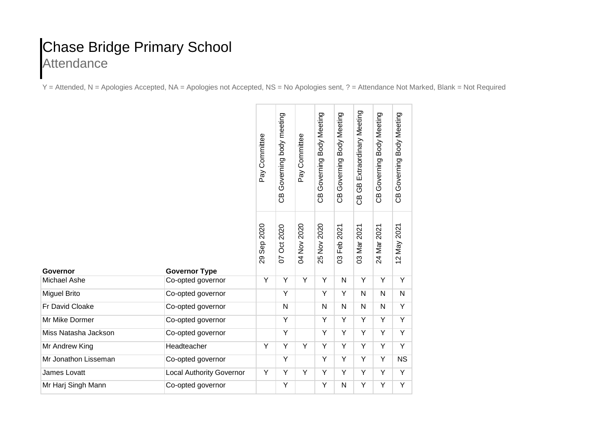## Chase Bridge Primary School **Attendance**

Y = Attended, N = Apologies Accepted, NA = Apologies not Accepted, NS = No Apologies sent, ? = Attendance Not Marked, Blank = Not Required

|                      |                                 | Pay Committee      | Governing body meeting<br>ල<br>ප | Pay Committee | Governing Body Meeting<br>පි<br>උ | Body Meeting<br>Governing<br>පි | Extraordinary Meeting<br>ල<br>ප<br>සී | Governing Body Meeting<br>පි<br>උ | CB Governing Body Meeting |
|----------------------|---------------------------------|--------------------|----------------------------------|---------------|-----------------------------------|---------------------------------|---------------------------------------|-----------------------------------|---------------------------|
| Governor             | <b>Governor Type</b>            | 2020<br>Sep:<br>29 | Oct 2020<br>5                    | 04 Nov 2020   | 2020<br>25 Nov                    | 2021<br>Feb<br>3                | 2021<br>03 Mar                        | 2021<br>24 Mar                    | 12 May 2021               |
| Michael Ashe         | Co-opted governor               | Y                  | Υ                                | Υ             | Y                                 | N                               | Υ                                     | Y                                 | Y                         |
| <b>Miguel Brito</b>  | Co-opted governor               |                    | $\overline{Y}$                   |               | Y                                 | Y                               | N                                     | N                                 | $\mathsf{N}$              |
| Fr David Cloake      | Co-opted governor               |                    | $\mathsf{N}$                     |               | $\mathsf{N}$                      | $\mathsf{N}$                    | N                                     | N                                 | Y                         |
| Mr Mike Dormer       | Co-opted governor               |                    | Υ                                |               | Y                                 | Y                               | Y                                     | Y                                 | Y                         |
| Miss Natasha Jackson | Co-opted governor               |                    | Ÿ                                |               | Y                                 | $\overline{Y}$                  | Y                                     | Y                                 | $\overline{Y}$            |
| Mr Andrew King       | Headteacher                     | Y                  | Y                                | Y             | Y                                 | Y                               | Y                                     | Y                                 | Y                         |
| Mr Jonathon Lisseman | Co-opted governor               |                    | Υ                                |               | Y                                 | Y                               | Y                                     | Y                                 | <b>NS</b>                 |
| James Lovatt         | <b>Local Authority Governor</b> | Y                  | Υ                                | Υ             | Y                                 | Υ                               | Υ                                     | Y                                 | Υ                         |
| Mr Harj Singh Mann   | Co-opted governor               |                    | Υ                                |               | Y                                 | N                               | Υ                                     | Υ                                 | $\overline{\mathsf{Y}}$   |